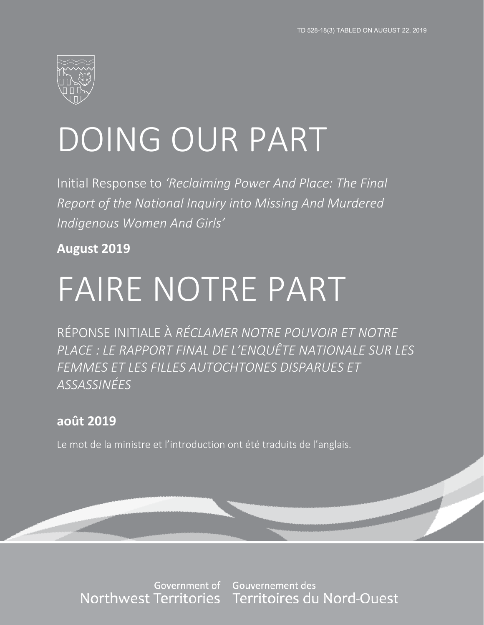

# DOING OUR PART

Initial Response to *'Reclaiming Power And Place: The Final Report of the National Inquiry into Missing And Murdered Indigenous Women And Girls'*

**August 2019** 

# FAIRE NOTRE PART

RÉPONSE INITIALE À *RÉCLAMER NOTRE POUVOIR ET NOTRE PLACE : LE RAPPORT FINAL DE L'ENQUÊTE NATIONALE SUR LES FEMMES ET LES FILLES AUTOCHTONES DISPARUES ET ASSASSINÉES*

## **août 2019**

Le mot de la ministre et l'introduction ont été traduits de l'anglais.

Government of Northwest Territories

Gouvernement des Territoires du Nord-Ouest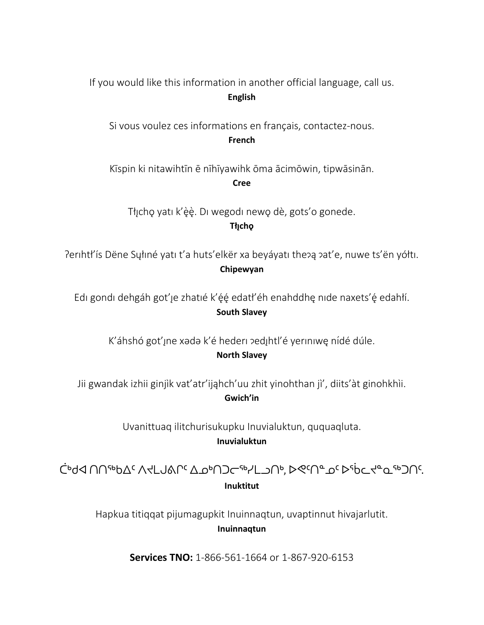If you would like this information in another official language, call us. **English**

Si vous voulez ces informations en français, contactez-nous. **French**

Kīspin ki nitawihtīn ē nīhīyawihk ōma ācimōwin, tipwāsinān. **Cree**

Tłicho yati k'èè. Di wegodi newo dè, gots'o gonede. **Tłı̨chǫ**

Perihtł'is Dëne Syłiné yati t'a huts'elkër xa beyáyati the?ą ?at'e, nuwe ts'ën yółti. **Chipewyan**

Edi gondi dehgáh got'įe zhatié k'ę́ę edatł'éh enahddhę nide naxets'ę edahłí. **South Slavey**

K'áhshó got'ıne xədə k'é hederi pedihtl'é yeriniwe nídé dúle. **North Slavey**

Jii gwandak izhii ginjìk vat'atr'ijahch'uu zhit yinohthan jì', diits'àt ginohkhìi. **Gwich'in**

> Uvanittuaq ilitchurisukupku Inuvialuktun, ququaqluta. **Inuvialuktun**

ᑖᒃᑯᐊ ᑎᑎᕐᒃᑲᐃᑦ ᐱᔪᒪᒍᕕᒋᑦ ᐃᓄᒃᑎᑐᓕᕐᒃᓯᒪᓗᑎᒃ, ᐅᕙᑦᑎᓐᓄᑦ ᐅᖄᓚᔪᓐᓇᖅᑐᑎᑦ. **Inuktitut**

Hapkua titiqqat pijumagupkit Inuinnaqtun, uvaptinnut hivajarlutit. **Inuinnaqtun**

**Services TNO:** 1-866-561-1664 or 1-867-920-6153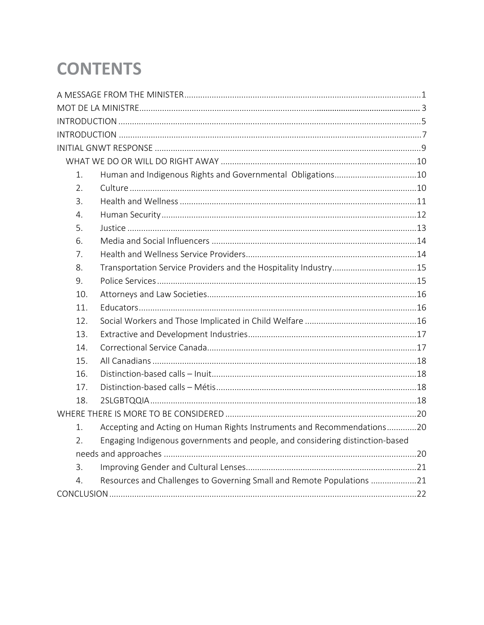# **CONTENTS**

| 1.  |                                                                               |  |
|-----|-------------------------------------------------------------------------------|--|
| 2.  |                                                                               |  |
| 3.  |                                                                               |  |
| 4.  |                                                                               |  |
| 5.  |                                                                               |  |
| 6.  |                                                                               |  |
| 7.  |                                                                               |  |
| 8.  |                                                                               |  |
| 9.  |                                                                               |  |
| 10. |                                                                               |  |
| 11. |                                                                               |  |
| 12. |                                                                               |  |
| 13. |                                                                               |  |
| 14. |                                                                               |  |
| 15. |                                                                               |  |
| 16. |                                                                               |  |
| 17. |                                                                               |  |
| 18. |                                                                               |  |
|     |                                                                               |  |
| 1.  | Accepting and Acting on Human Rights Instruments and Recommendations20        |  |
| 2.  | Engaging Indigenous governments and people, and considering distinction-based |  |
|     |                                                                               |  |
| 3.  |                                                                               |  |
| 4.  | Resources and Challenges to Governing Small and Remote Populations 21         |  |
|     |                                                                               |  |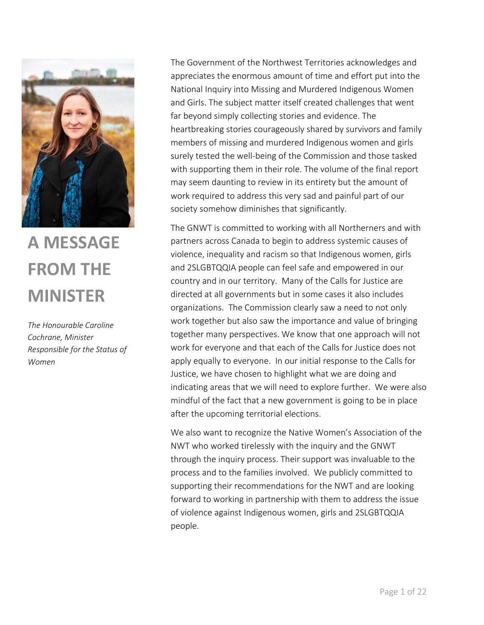

# **A MESSAGE FROM THE MINISTER**

*The Honourable Caroline Cochrane, Minister Responsible for the Status of Women*

The Government of the Northwest Territories acknowledges and appreciates the enormous amount of time and effort put into the National Inquiry into Missing and Murdered Indigenous Women and Girls. The subject matter itself created challenges that went far beyond simply collecting stories and evidence. The heartbreaking stories courageously shared by survivors and family members of missing and murdered Indigenous women and girls surely tested the well-being of the Commission and those tasked with supporting them in their role. The volume of the final report may seem daunting to review in its entirety but the amount of work required to address this very sad and painful part of our society somehow diminishes that significantly.

The GNWT is committed to working with all Northerners and with partners across Canada to begin to address systemic causes of violence, inequality and racism so that Indigenous women, girls and 2SLGBTQQIA people can feel safe and empowered in our country and in our territory. Many of the Calls for Justice are directed at all governments but in some cases it also includes organizations. The Commission clearly saw a need to not only work together but also saw the importance and value of bringing together many perspectives. We know that one approach will not work for everyone and that each of the Calls for Justice does not apply equally to everyone. In our initial response to the Calls for Justice, we have chosen to highlight what we are doing and indicating areas that we will need to explore further. We were also mindful of the fact that a new government is going to be in place after the upcoming territorial elections.

We also want to recognize the Native Women's Association of the NWT who worked tirelessly with the inquiry and the GNWT through the inquiry process. Their support was invaluable to the process and to the families involved. We publicly committed to supporting their recommendations for the NWT and are looking forward to working in partnership with them to address the issue of violence against Indigenous women, girls and 2SLGBTQQIA people.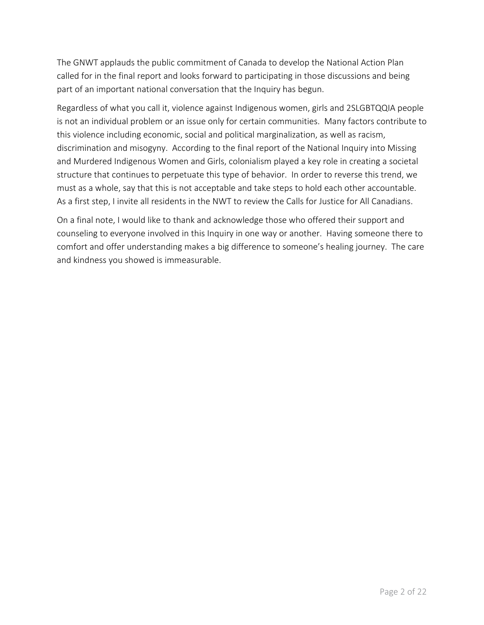The GNWT applauds the public commitment of Canada to develop the National Action Plan called for in the final report and looks forward to participating in those discussions and being part of an important national conversation that the Inquiry has begun.

Regardless of what you call it, violence against Indigenous women, girls and 2SLGBTQQIA people is not an individual problem or an issue only for certain communities. Many factors contribute to this violence including economic, social and political marginalization, as well as racism, discrimination and misogyny. According to the final report of the National Inquiry into Missing and Murdered Indigenous Women and Girls, colonialism played a key role in creating a societal structure that continues to perpetuate this type of behavior. In order to reverse this trend, we must as a whole, say that this is not acceptable and take steps to hold each other accountable. As a first step, I invite all residents in the NWT to review the Calls for Justice for All Canadians.

On a final note, I would like to thank and acknowledge those who offered their support and counseling to everyone involved in this Inquiry in one way or another. Having someone there to comfort and offer understanding makes a big difference to someone's healing journey. The care and kindness you showed is immeasurable.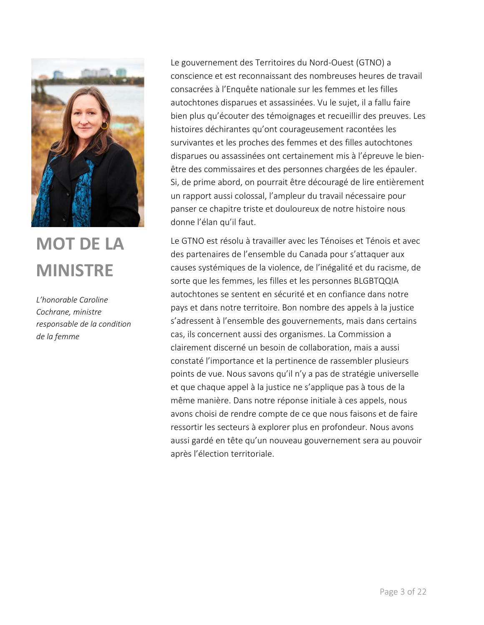

# **MOT DE LA MINISTRE**

*L'honorable Caroline Cochrane, ministre responsable de la condition de la femme*

Le gouvernement des Territoires du Nord-Ouest (GTNO) a conscience et est reconnaissant des nombreuses heures de travail consacrées à l'Enquête nationale sur les femmes et les filles autochtones disparues et assassinées. Vu le sujet, il a fallu faire bien plus qu'écouter des témoignages et recueillir des preuves. Les histoires déchirantes qu'ont courageusement racontées les survivantes et les proches des femmes et des filles autochtones disparues ou assassinées ont certainement mis à l'épreuve le bienêtre des commissaires et des personnes chargées de les épauler. Si, de prime abord, on pourrait être découragé de lire entièrement un rapport aussi colossal, l'ampleur du travail nécessaire pour panser ce chapitre triste et douloureux de notre histoire nous donne l'élan qu'il faut.

Le GTNO est résolu à travailler avec les Ténoises et Ténois et avec des partenaires de l'ensemble du Canada pour s'attaquer aux causes systémiques de la violence, de l'inégalité et du racisme, de sorte que les femmes, les filles et les personnes BLGBTQQIA autochtones se sentent en sécurité et en confiance dans notre pays et dans notre territoire. Bon nombre des appels à la justice s'adressent à l'ensemble des gouvernements, mais dans certains cas, ils concernent aussi des organismes. La Commission a clairement discerné un besoin de collaboration, mais a aussi constaté l'importance et la pertinence de rassembler plusieurs points de vue. Nous savons qu'il n'y a pas de stratégie universelle et que chaque appel à la justice ne s'applique pas à tous de la même manière. Dans notre réponse initiale à ces appels, nous avons choisi de rendre compte de ce que nous faisons et de faire ressortir les secteurs à explorer plus en profondeur. Nous avons aussi gardé en tête qu'un nouveau gouvernement sera au pouvoir après l'élection territoriale.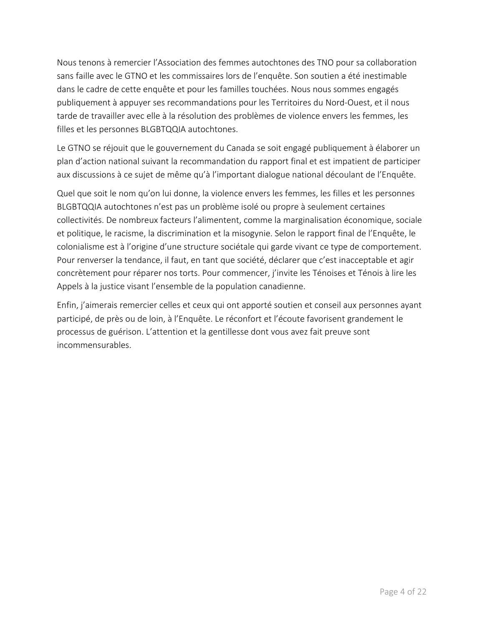Nous tenons à remercier l'Association des femmes autochtones des TNO pour sa collaboration sans faille avec le GTNO et les commissaires lors de l'enquête. Son soutien a été inestimable dans le cadre de cette enquête et pour les familles touchées. Nous nous sommes engagés publiquement à appuyer ses recommandations pour les Territoires du Nord-Ouest, et il nous tarde de travailler avec elle à la résolution des problèmes de violence envers les femmes, les filles et les personnes BLGBTQQIA autochtones.

Le GTNO se réjouit que le gouvernement du Canada se soit engagé publiquement à élaborer un plan d'action national suivant la recommandation du rapport final et est impatient de participer aux discussions à ce sujet de même qu'à l'important dialogue national découlant de l'Enquête.

Quel que soit le nom qu'on lui donne, la violence envers les femmes, les filles et les personnes BLGBTQQIA autochtones n'est pas un problème isolé ou propre à seulement certaines collectivités. De nombreux facteurs l'alimentent, comme la marginalisation économique, sociale et politique, le racisme, la discrimination et la misogynie. Selon le rapport final de l'Enquête, le colonialisme est à l'origine d'une structure sociétale qui garde vivant ce type de comportement. Pour renverser la tendance, il faut, en tant que société, déclarer que c'est inacceptable et agir concrètement pour réparer nos torts. Pour commencer, j'invite les Ténoises et Ténois à lire les Appels à la justice visant l'ensemble de la population canadienne.

Enfin, j'aimerais remercier celles et ceux qui ont apporté soutien et conseil aux personnes ayant participé, de près ou de loin, à l'Enquête. Le réconfort et l'écoute favorisent grandement le processus de guérison. L'attention et la gentillesse dont vous avez fait preuve sont incommensurables.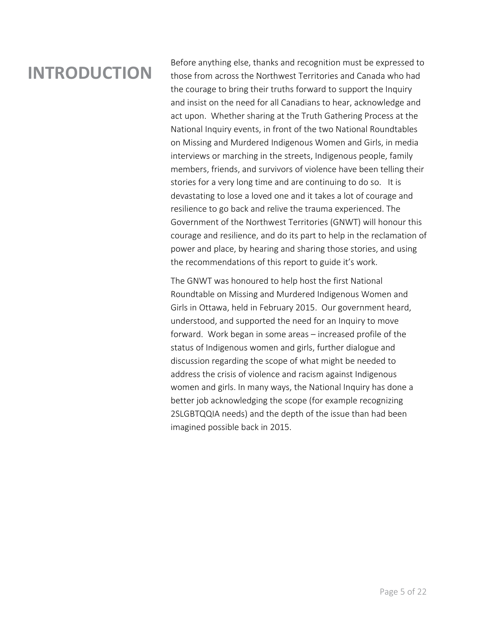# **INTRODUCTION**

Before anything else, thanks and recognition must be expressed to those from across the Northwest Territories and Canada who had the courage to bring their truths forward to support the Inquiry and insist on the need for all Canadians to hear, acknowledge and act upon. Whether sharing at the Truth Gathering Process at the National Inquiry events, in front of the two National Roundtables on Missing and Murdered Indigenous Women and Girls, in media interviews or marching in the streets, Indigenous people, family members, friends, and survivors of violence have been telling their stories for a very long time and are continuing to do so. It is devastating to lose a loved one and it takes a lot of courage and resilience to go back and relive the trauma experienced. The Government of the Northwest Territories (GNWT) will honour this courage and resilience, and do its part to help in the reclamation of power and place, by hearing and sharing those stories, and using the recommendations of this report to guide it's work.

The GNWT was honoured to help host the first National Roundtable on Missing and Murdered Indigenous Women and Girls in Ottawa, held in February 2015. Our government heard, understood, and supported the need for an Inquiry to move forward. Work began in some areas – increased profile of the status of Indigenous women and girls, further dialogue and discussion regarding the scope of what might be needed to address the crisis of violence and racism against Indigenous women and girls. In many ways, the National Inquiry has done a better job acknowledging the scope (for example recognizing 2SLGBTQQIA needs) and the depth of the issue than had been imagined possible back in 2015.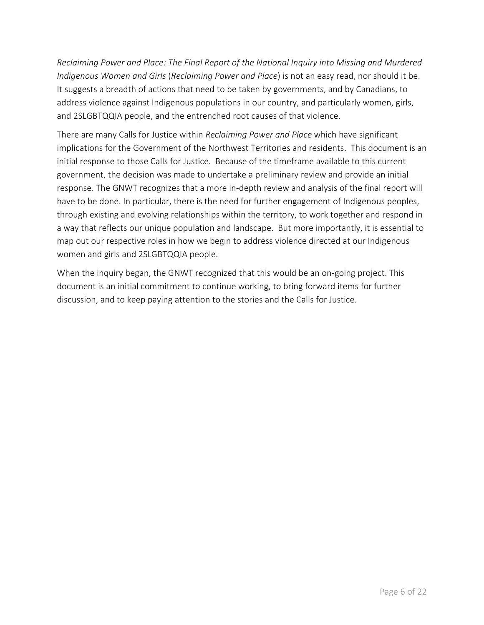*Reclaiming Power and Place: The Final Report of the National Inquiry into Missing and Murdered Indigenous Women and Girls* (*Reclaiming Power and Place*) is not an easy read, nor should it be. It suggests a breadth of actions that need to be taken by governments, and by Canadians, to address violence against Indigenous populations in our country, and particularly women, girls, and 2SLGBTQQIA people, and the entrenched root causes of that violence.

There are many Calls for Justice within *Reclaiming Power and Place* which have significant implications for the Government of the Northwest Territories and residents. This document is an initial response to those Calls for Justice. Because of the timeframe available to this current government, the decision was made to undertake a preliminary review and provide an initial response. The GNWT recognizes that a more in-depth review and analysis of the final report will have to be done. In particular, there is the need for further engagement of Indigenous peoples, through existing and evolving relationships within the territory, to work together and respond in a way that reflects our unique population and landscape. But more importantly, it is essential to map out our respective roles in how we begin to address violence directed at our Indigenous women and girls and 2SLGBTQQIA people.

When the inquiry began, the GNWT recognized that this would be an on-going project. This document is an initial commitment to continue working, to bring forward items for further discussion, and to keep paying attention to the stories and the Calls for Justice.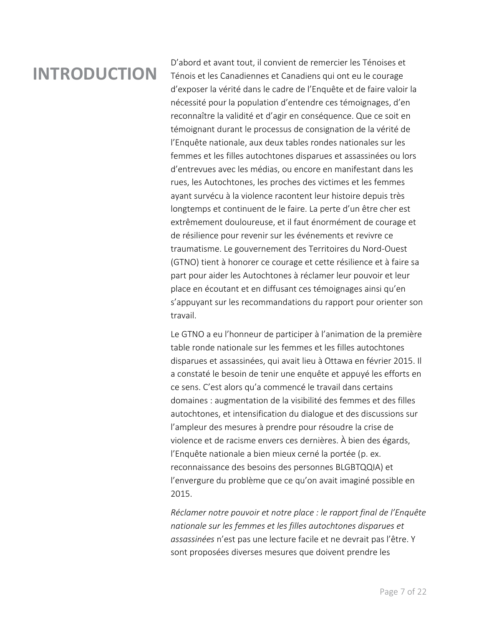# **INTRODUCTION**

D'abord et avant tout, il convient de remercier les Ténoises et Ténois et les Canadiennes et Canadiens qui ont eu le courage d'exposer la vérité dans le cadre de l'Enquête et de faire valoir la nécessité pour la population d'entendre ces témoignages, d'en reconnaître la validité et d'agir en conséquence. Que ce soit en témoignant durant le processus de consignation de la vérité de l'Enquête nationale, aux deux tables rondes nationales sur les femmes et les filles autochtones disparues et assassinées ou lors d'entrevues avec les médias, ou encore en manifestant dans les rues, les Autochtones, les proches des victimes et les femmes ayant survécu à la violence racontent leur histoire depuis très longtemps et continuent de le faire. La perte d'un être cher est extrêmement douloureuse, et il faut énormément de courage et de résilience pour revenir sur les événements et revivre ce traumatisme. Le gouvernement des Territoires du Nord-Ouest (GTNO) tient à honorer ce courage et cette résilience et à faire sa part pour aider les Autochtones à réclamer leur pouvoir et leur place en écoutant et en diffusant ces témoignages ainsi qu'en s'appuyant sur les recommandations du rapport pour orienter son travail.

Le GTNO a eu l'honneur de participer à l'animation de la première table ronde nationale sur les femmes et les filles autochtones disparues et assassinées, qui avait lieu à Ottawa en février 2015. Il a constaté le besoin de tenir une enquête et appuyé les efforts en ce sens. C'est alors qu'a commencé le travail dans certains domaines : augmentation de la visibilité des femmes et des filles autochtones, et intensification du dialogue et des discussions sur l'ampleur des mesures à prendre pour résoudre la crise de violence et de racisme envers ces dernières. À bien des égards, l'Enquête nationale a bien mieux cerné la portée (p. ex. reconnaissance des besoins des personnes BLGBTQQIA) et l'envergure du problème que ce qu'on avait imaginé possible en 2015.

*Réclamer notre pouvoir et notre place : le rapport final de l'Enquête nationale sur les femmes et les filles autochtones disparues et assassinées* n'est pas une lecture facile et ne devrait pas l'être. Y sont proposées diverses mesures que doivent prendre les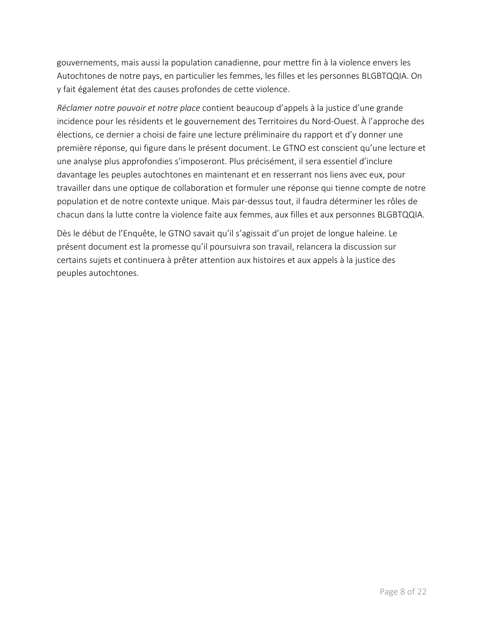gouvernements, mais aussi la population canadienne, pour mettre fin à la violence envers les Autochtones de notre pays, en particulier les femmes, les filles et les personnes BLGBTQQIA. On y fait également état des causes profondes de cette violence.

*Réclamer notre pouvoir et notre place* contient beaucoup d'appels à la justice d'une grande incidence pour les résidents et le gouvernement des Territoires du Nord-Ouest. À l'approche des élections, ce dernier a choisi de faire une lecture préliminaire du rapport et d'y donner une première réponse, qui figure dans le présent document. Le GTNO est conscient qu'une lecture et une analyse plus approfondies s'imposeront. Plus précisément, il sera essentiel d'inclure davantage les peuples autochtones en maintenant et en resserrant nos liens avec eux, pour travailler dans une optique de collaboration et formuler une réponse qui tienne compte de notre population et de notre contexte unique. Mais par-dessus tout, il faudra déterminer les rôles de chacun dans la lutte contre la violence faite aux femmes, aux filles et aux personnes BLGBTQQIA.

Dès le début de l'Enquête, le GTNO savait qu'il s'agissait d'un projet de longue haleine. Le présent document est la promesse qu'il poursuivra son travail, relancera la discussion sur certains sujets et continuera à prêter attention aux histoires et aux appels à la justice des peuples autochtones.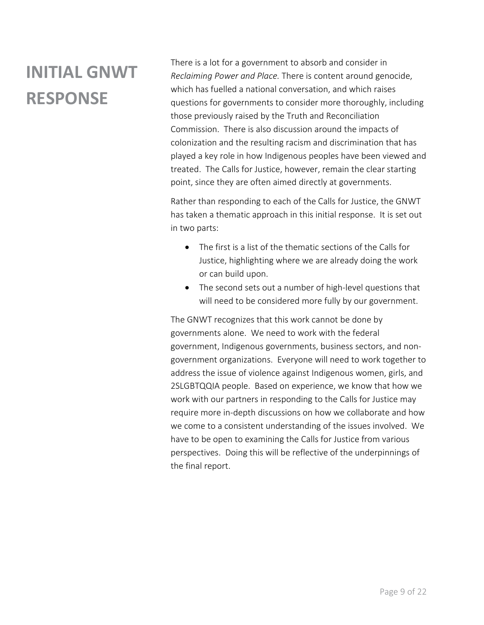# **INITIAL GNWT RESPONSE**

There is a lot for a government to absorb and consider in *Reclaiming Power and Place.* There is content around genocide, which has fuelled a national conversation, and which raises questions for governments to consider more thoroughly, including those previously raised by the Truth and Reconciliation Commission. There is also discussion around the impacts of colonization and the resulting racism and discrimination that has played a key role in how Indigenous peoples have been viewed and treated. The Calls for Justice, however, remain the clear starting point, since they are often aimed directly at governments.

Rather than responding to each of the Calls for Justice, the GNWT has taken a thematic approach in this initial response. It is set out in two parts:

- The first is a list of the thematic sections of the Calls for Justice, highlighting where we are already doing the work or can build upon.
- The second sets out a number of high-level questions that will need to be considered more fully by our government.

The GNWT recognizes that this work cannot be done by governments alone. We need to work with the federal government, Indigenous governments, business sectors, and nongovernment organizations. Everyone will need to work together to address the issue of violence against Indigenous women, girls, and 2SLGBTQQIA people. Based on experience, we know that how we work with our partners in responding to the Calls for Justice may require more in-depth discussions on how we collaborate and how we come to a consistent understanding of the issues involved. We have to be open to examining the Calls for Justice from various perspectives. Doing this will be reflective of the underpinnings of the final report.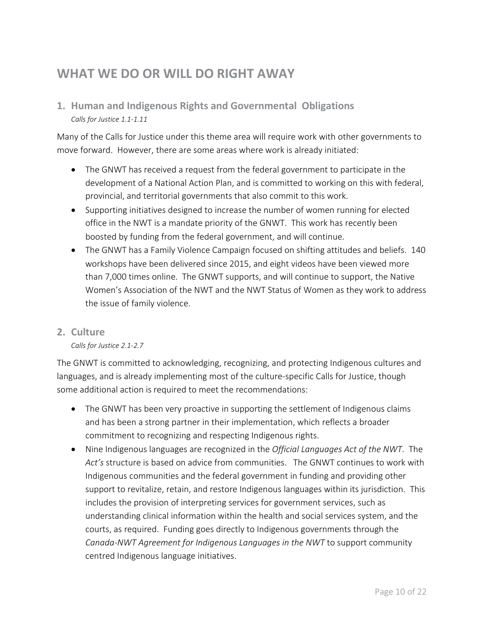## <span id="page-12-0"></span>**WHAT WE DO OR WILL DO RIGHT AWAY**

### <span id="page-12-1"></span>**1. Human and Indigenous Rights and Governmental Obligations** *Calls for Justice 1.1-1.11*

Many of the Calls for Justice under this theme area will require work with other governments to move forward. However, there are some areas where work is already initiated:

- The GNWT has received a request from the federal government to participate in the development of a National Action Plan, and is committed to working on this with federal, provincial, and territorial governments that also commit to this work.
- Supporting initiatives designed to increase the number of women running for elected office in the NWT is a mandate priority of the GNWT. This work has recently been boosted by funding from the federal government, and will continue.
- The GNWT has a Family Violence Campaign focused on shifting attitudes and beliefs. 140 workshops have been delivered since 2015, and eight videos have been viewed more than 7,000 times online. The GNWT supports, and will continue to support, the Native Women's Association of the NWT and the NWT Status of Women as they work to address the issue of family violence.

#### <span id="page-12-2"></span>**2. Culture**

#### *Calls for Justice 2.1-2.7*

The GNWT is committed to acknowledging, recognizing, and protecting Indigenous cultures and languages, and is already implementing most of the culture-specific Calls for Justice, though some additional action is required to meet the recommendations:

- The GNWT has been very proactive in supporting the settlement of Indigenous claims and has been a strong partner in their implementation, which reflects a broader commitment to recognizing and respecting Indigenous rights.
- Nine Indigenous languages are recognized in the *Official Languages Act of the NWT*. The *Act's* structure is based on advice from communities. The GNWT continues to work with Indigenous communities and the federal government in funding and providing other support to revitalize, retain, and restore Indigenous languages within its jurisdiction. This includes the provision of interpreting services for government services, such as understanding clinical information within the health and social services system, and the courts, as required. Funding goes directly to Indigenous governments through the *Canada-NWT Agreement for Indigenous Languages in the NWT* to support community centred Indigenous language initiatives.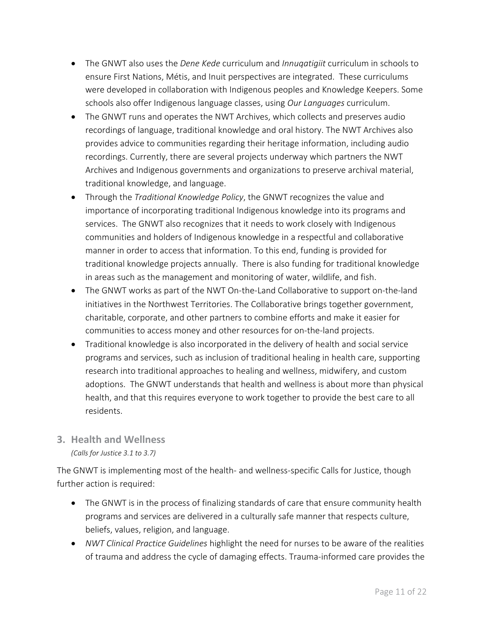- The GNWT also uses the *Dene Kede* curriculum and *Innuqatigiit* curriculum in schools to ensure First Nations, Métis, and Inuit perspectives are integrated. These curriculums were developed in collaboration with Indigenous peoples and Knowledge Keepers. Some schools also offer Indigenous language classes, using *Our Languages* curriculum.
- The GNWT runs and operates the NWT Archives, which collects and preserves audio recordings of language, traditional knowledge and oral history. The NWT Archives also provides advice to communities regarding their heritage information, including audio recordings. Currently, there are several projects underway which partners the NWT Archives and Indigenous governments and organizations to preserve archival material, traditional knowledge, and language.
- Through the *Traditional Knowledge Policy*, the GNWT recognizes the value and importance of incorporating traditional Indigenous knowledge into its programs and services. The GNWT also recognizes that it needs to work closely with Indigenous communities and holders of Indigenous knowledge in a respectful and collaborative manner in order to access that information. To this end, funding is provided for traditional knowledge projects annually. There is also funding for traditional knowledge in areas such as the management and monitoring of water, wildlife, and fish.
- The GNWT works as part of the NWT On-the-Land Collaborative to support on-the-land initiatives in the Northwest Territories. The Collaborative brings together government, charitable, corporate, and other partners to combine efforts and make it easier for communities to access money and other resources for on-the-land projects.
- Traditional knowledge is also incorporated in the delivery of health and social service programs and services, such as inclusion of traditional healing in health care, supporting research into traditional approaches to healing and wellness, midwifery, and custom adoptions. The GNWT understands that health and wellness is about more than physical health, and that this requires everyone to work together to provide the best care to all residents.

### <span id="page-13-0"></span>**3. Health and Wellness**

*(Calls for Justice 3.1 to 3.7)*

The GNWT is implementing most of the health- and wellness-specific Calls for Justice, though further action is required:

- The GNWT is in the process of finalizing standards of care that ensure community health programs and services are delivered in a culturally safe manner that respects culture, beliefs, values, religion, and language.
- *NWT Clinical Practice Guidelines* highlight the need for nurses to be aware of the realities of trauma and address the cycle of damaging effects. Trauma-informed care provides the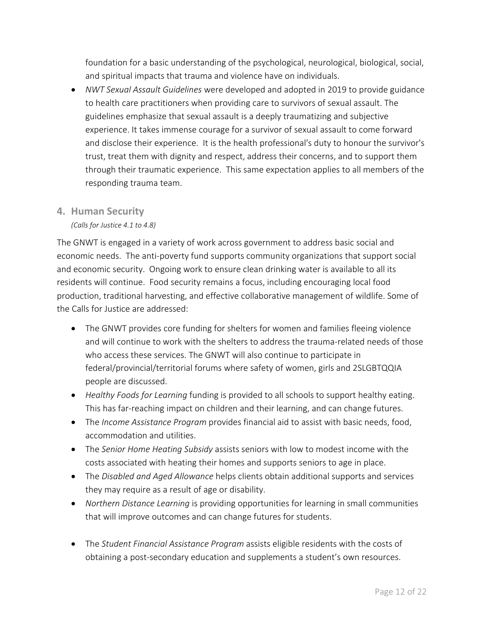foundation for a basic understanding of the psychological, neurological, biological, social, and spiritual impacts that trauma and violence have on individuals.

• *NWT Sexual Assault Guidelines* were developed and adopted in 2019 to provide guidance to health care practitioners when providing care to survivors of sexual assault. The guidelines emphasize that sexual assault is a deeply traumatizing and subjective experience. It takes immense courage for a survivor of sexual assault to come forward and disclose their experience. It is the health professional's duty to honour the survivor's trust, treat them with dignity and respect, address their concerns, and to support them through their traumatic experience. This same expectation applies to all members of the responding trauma team.

#### <span id="page-14-0"></span>**4. Human Security**

*(Calls for Justice 4.1 to 4.8)*

The GNWT is engaged in a variety of work across government to address basic social and economic needs. The anti-poverty fund supports community organizations that support social and economic security. Ongoing work to ensure clean drinking water is available to all its residents will continue. Food security remains a focus, including encouraging local food production, traditional harvesting, and effective collaborative management of wildlife. Some of the Calls for Justice are addressed:

- The GNWT provides core funding for shelters for women and families fleeing violence and will continue to work with the shelters to address the trauma-related needs of those who access these services. The GNWT will also continue to participate in federal/provincial/territorial forums where safety of women, girls and 2SLGBTQQIA people are discussed.
- *Healthy Foods for Learning* funding is provided to all schools to support healthy eating. This has far-reaching impact on children and their learning, and can change futures.
- The *Income Assistance Program* provides financial aid to assist with basic needs, food, accommodation and utilities.
- The *Senior Home Heating Subsidy* assists seniors with low to modest income with the costs associated with heating their homes and supports seniors to age in place.
- The *Disabled and Aged Allowance* helps clients obtain additional supports and services they may require as a result of age or disability.
- *Northern Distance Learning* is providing opportunities for learning in small communities that will improve outcomes and can change futures for students.
- The *Student Financial Assistance Program* assists eligible residents with the costs of obtaining a post-secondary education and supplements a student's own resources.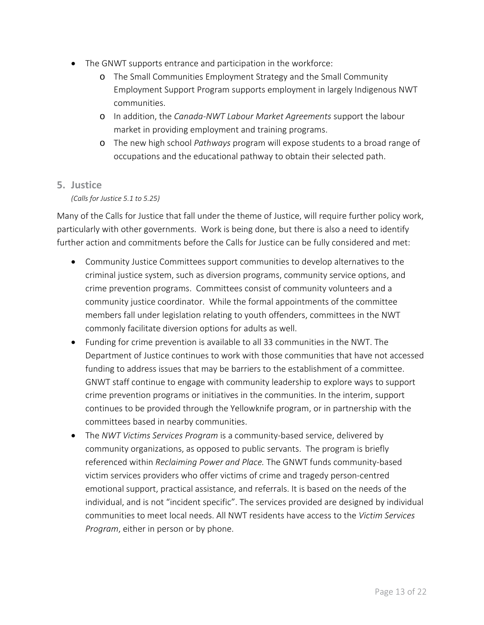- The GNWT supports entrance and participation in the workforce:
	- o The Small Communities Employment Strategy and the Small Community Employment Support Program supports employment in largely Indigenous NWT communities.
	- o In addition, the *Canada-NWT Labour Market Agreements* support the labour market in providing employment and training programs.
	- o The new high school *Pathways* program will expose students to a broad range of occupations and the educational pathway to obtain their selected path.

#### <span id="page-15-0"></span>**5. Justice**

#### *(Calls for Justice 5.1 to 5.25)*

Many of the Calls for Justice that fall under the theme of Justice, will require further policy work, particularly with other governments. Work is being done, but there is also a need to identify further action and commitments before the Calls for Justice can be fully considered and met:

- Community Justice Committees support communities to develop alternatives to the criminal justice system, such as diversion programs, community service options, and crime prevention programs. Committees consist of community volunteers and a community justice coordinator. While the formal appointments of the committee members fall under legislation relating to youth offenders, committees in the NWT commonly facilitate diversion options for adults as well.
- Funding for crime prevention is available to all 33 communities in the NWT. The Department of Justice continues to work with those communities that have not accessed funding to address issues that may be barriers to the establishment of a committee. GNWT staff continue to engage with community leadership to explore ways to support crime prevention programs or initiatives in the communities. In the interim, support continues to be provided through the Yellowknife program, or in partnership with the committees based in nearby communities.
- The *NWT Victims Services Program* is a community-based service, delivered by community organizations, as opposed to public servants. The program is briefly referenced within *Reclaiming Power and Place.* The GNWT funds community-based victim services providers who offer victims of crime and tragedy person-centred emotional support, practical assistance, and referrals. It is based on the needs of the individual, and is not "incident specific". The services provided are designed by individual communities to meet local needs. All NWT residents have access to the *Victim Services Program*, either in person or by phone.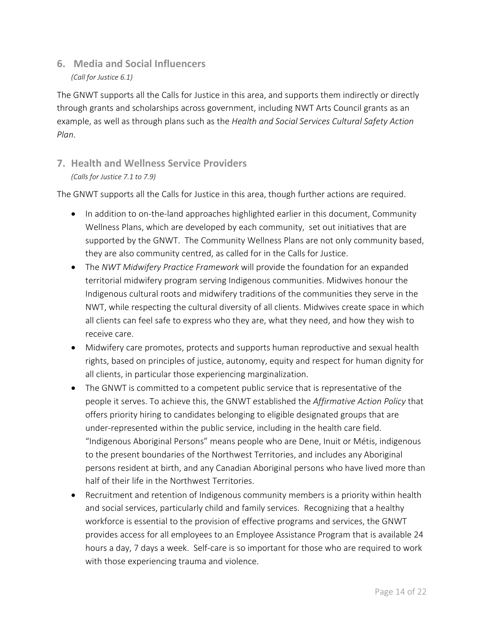<span id="page-16-0"></span>**6. Media and Social Influencers** *(Call for Justice 6.1)*

The GNWT supports all the Calls for Justice in this area, and supports them indirectly or directly through grants and scholarships across government, including NWT Arts Council grants as an example, as well as through plans such as the *Health and Social Services Cultural Safety Action Plan*.

### <span id="page-16-1"></span>**7. Health and Wellness Service Providers** *(Calls for Justice 7.1 to 7.9)*

The GNWT supports all the Calls for Justice in this area, though further actions are required.

- In addition to on-the-land approaches highlighted earlier in this document, Community Wellness Plans, which are developed by each community, set out initiatives that are supported by the GNWT. The Community Wellness Plans are not only community based, they are also community centred, as called for in the Calls for Justice.
- The *NWT Midwifery Practice Framework* will provide the foundation for an expanded territorial midwifery program serving Indigenous communities. Midwives honour the Indigenous cultural roots and midwifery traditions of the communities they serve in the NWT, while respecting the cultural diversity of all clients. Midwives create space in which all clients can feel safe to express who they are, what they need, and how they wish to receive care.
- Midwifery care promotes, protects and supports human reproductive and sexual health rights, based on principles of justice, autonomy, equity and respect for human dignity for all clients, in particular those experiencing marginalization.
- The GNWT is committed to a competent public service that is representative of the people it serves. To achieve this, the GNWT established the *Affirmative Action Policy* that offers priority hiring to candidates belonging to eligible designated groups that are under-represented within the public service, including in the health care field. "Indigenous Aboriginal Persons" means people who are Dene, Inuit or Métis, indigenous to the present boundaries of the Northwest Territories, and includes any Aboriginal persons resident at birth, and any Canadian Aboriginal persons who have lived more than half of their life in the Northwest Territories.
- Recruitment and retention of Indigenous community members is a priority within health and social services, particularly child and family services. Recognizing that a healthy workforce is essential to the provision of effective programs and services, the GNWT provides access for all employees to an Employee Assistance Program that is available 24 hours a day, 7 days a week. Self-care is so important for those who are required to work with those experiencing trauma and violence.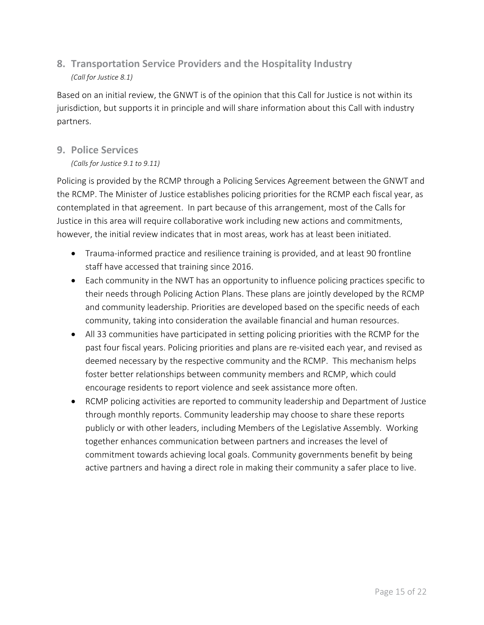### <span id="page-17-0"></span>**8. Transportation Service Providers and the Hospitality Industry** *(Call for Justice 8.1)*

Based on an initial review, the GNWT is of the opinion that this Call for Justice is not within its jurisdiction, but supports it in principle and will share information about this Call with industry partners.

#### <span id="page-17-1"></span>**9. Police Services**

#### *(Calls for Justice 9.1 to 9.11)*

Policing is provided by the RCMP through a Policing Services Agreement between the GNWT and the RCMP. The Minister of Justice establishes policing priorities for the RCMP each fiscal year, as contemplated in that agreement. In part because of this arrangement, most of the Calls for Justice in this area will require collaborative work including new actions and commitments, however, the initial review indicates that in most areas, work has at least been initiated.

- Trauma-informed practice and resilience training is provided, and at least 90 frontline staff have accessed that training since 2016.
- Each community in the NWT has an opportunity to influence policing practices specific to their needs through Policing Action Plans. These plans are jointly developed by the RCMP and community leadership. Priorities are developed based on the specific needs of each community, taking into consideration the available financial and human resources.
- All 33 communities have participated in setting policing priorities with the RCMP for the past four fiscal years. Policing priorities and plans are re-visited each year, and revised as deemed necessary by the respective community and the RCMP. This mechanism helps foster better relationships between community members and RCMP, which could encourage residents to report violence and seek assistance more often.
- RCMP policing activities are reported to community leadership and Department of Justice through monthly reports. Community leadership may choose to share these reports publicly or with other leaders, including Members of the Legislative Assembly. Working together enhances communication between partners and increases the level of commitment towards achieving local goals. Community governments benefit by being active partners and having a direct role in making their community a safer place to live.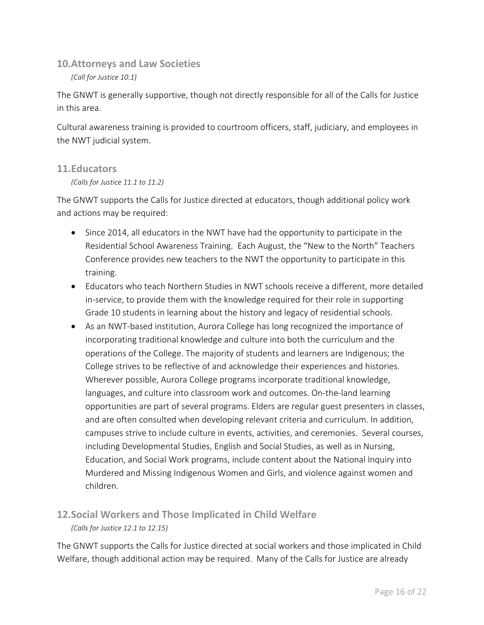<span id="page-18-0"></span>**10.Attorneys and Law Societies**

*(Call for Justice 10.1)*

The GNWT is generally supportive, though not directly responsible for all of the Calls for Justice in this area.

Cultural awareness training is provided to courtroom officers, staff, judiciary, and employees in the NWT judicial system.

#### <span id="page-18-1"></span>**11.Educators**

*(Calls for Justice 11.1 to 11.2)*

The GNWT supports the Calls for Justice directed at educators, though additional policy work and actions may be required:

- Since 2014, all educators in the NWT have had the opportunity to participate in the Residential School Awareness Training. Each August, the "New to the North" Teachers Conference provides new teachers to the NWT the opportunity to participate in this training.
- Educators who teach Northern Studies in NWT schools receive a different, more detailed in-service, to provide them with the knowledge required for their role in supporting Grade 10 students in learning about the history and legacy of residential schools.
- As an NWT-based institution, Aurora College has long recognized the importance of incorporating traditional knowledge and culture into both the curriculum and the operations of the College. The majority of students and learners are Indigenous; the College strives to be reflective of and acknowledge their experiences and histories. Wherever possible, Aurora College programs incorporate traditional knowledge, languages, and culture into classroom work and outcomes. On-the-land learning opportunities are part of several programs. Elders are regular guest presenters in classes, and are often consulted when developing relevant criteria and curriculum. In addition, campuses strive to include culture in events, activities, and ceremonies. Several courses, including Developmental Studies, English and Social Studies, as well as in Nursing, Education, and Social Work programs, include content about the National Inquiry into Murdered and Missing Indigenous Women and Girls, and violence against women and children.

### <span id="page-18-2"></span>**12.Social Workers and Those Implicated in Child Welfare** *(Calls for Justice 12.1 to 12.15)*

The GNWT supports the Calls for Justice directed at social workers and those implicated in Child Welfare, though additional action may be required. Many of the Calls for Justice are already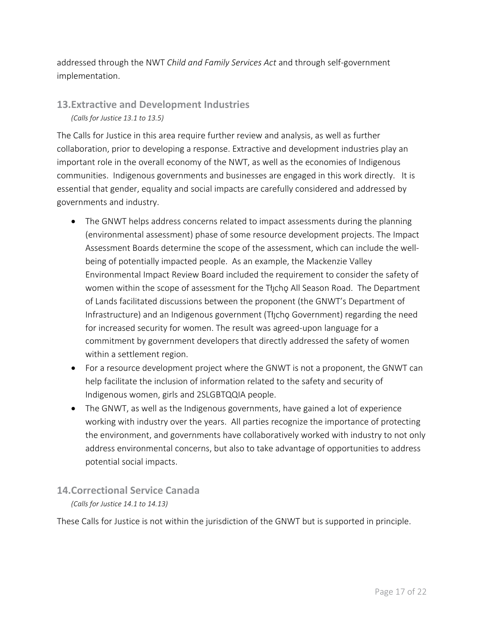addressed through the NWT *Child and Family Services Act* and through self-government implementation.

#### <span id="page-19-0"></span>**13.Extractive and Development Industries** *(Calls for Justice 13.1 to 13.5)*

The Calls for Justice in this area require further review and analysis, as well as further collaboration, prior to developing a response. Extractive and development industries play an important role in the overall economy of the NWT, as well as the economies of Indigenous communities. Indigenous governments and businesses are engaged in this work directly. It is essential that gender, equality and social impacts are carefully considered and addressed by governments and industry.

- The GNWT helps address concerns related to impact assessments during the planning (environmental assessment) phase of some resource development projects. The Impact Assessment Boards determine the scope of the assessment, which can include the wellbeing of potentially impacted people. As an example, the Mackenzie Valley Environmental Impact Review Board included the requirement to consider the safety of women within the scope of assessment for the Thicho All Season Road. The Department of Lands facilitated discussions between the proponent (the GNWT's Department of Infrastructure) and an Indigenous government (Tł chọ Government) regarding the need for increased security for women. The result was agreed-upon language for a commitment by government developers that directly addressed the safety of women within a settlement region.
- For a resource development project where the GNWT is not a proponent, the GNWT can help facilitate the inclusion of information related to the safety and security of Indigenous women, girls and 2SLGBTQQIA people.
- The GNWT, as well as the Indigenous governments, have gained a lot of experience working with industry over the years. All parties recognize the importance of protecting the environment, and governments have collaboratively worked with industry to not only address environmental concerns, but also to take advantage of opportunities to address potential social impacts.

#### <span id="page-19-1"></span>**14.Correctional Service Canada**

#### *(Calls for Justice 14.1 to 14.13)*

These Calls for Justice is not within the jurisdiction of the GNWT but is supported in principle.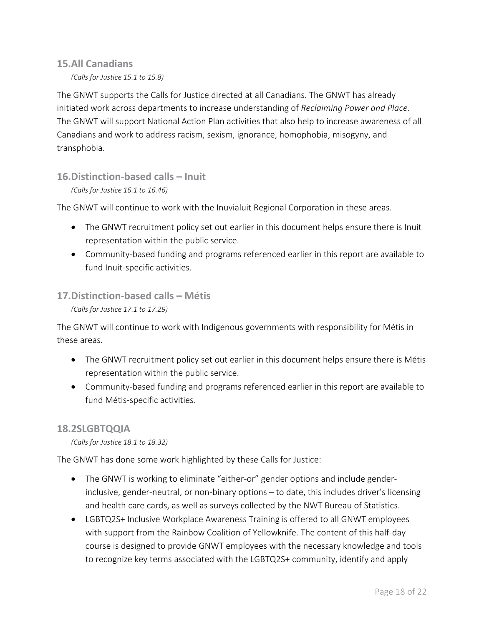#### <span id="page-20-0"></span>**15.All Canadians**

*(Calls for Justice 15.1 to 15.8)*

The GNWT supports the Calls for Justice directed at all Canadians. The GNWT has already initiated work across departments to increase understanding of *Reclaiming Power and Place*. The GNWT will support National Action Plan activities that also help to increase awareness of all Canadians and work to address racism, sexism, ignorance, homophobia, misogyny, and transphobia.

#### <span id="page-20-1"></span>**16.Distinction-based calls – Inuit**

#### *(Calls for Justice 16.1 to 16.46)*

The GNWT will continue to work with the Inuvialuit Regional Corporation in these areas.

- The GNWT recruitment policy set out earlier in this document helps ensure there is Inuit representation within the public service.
- Community-based funding and programs referenced earlier in this report are available to fund Inuit-specific activities.

#### <span id="page-20-2"></span>**17.Distinction-based calls – Métis**

*(Calls for Justice 17.1 to 17.29)*

The GNWT will continue to work with Indigenous governments with responsibility for Métis in these areas.

- The GNWT recruitment policy set out earlier in this document helps ensure there is Métis representation within the public service.
- Community-based funding and programs referenced earlier in this report are available to fund Métis-specific activities.

#### <span id="page-20-3"></span>**18.2SLGBTQQIA**

*(Calls for Justice 18.1 to 18.32)*

The GNWT has done some work highlighted by these Calls for Justice:

- The GNWT is working to eliminate "either-or" gender options and include genderinclusive, gender-neutral, or non-binary options – to date, this includes driver's licensing and health care cards, as well as surveys collected by the NWT Bureau of Statistics.
- LGBTQ2S+ Inclusive Workplace Awareness Training is offered to all GNWT employees with support from the Rainbow Coalition of Yellowknife. The content of this half-day course is designed to provide GNWT employees with the necessary knowledge and tools to recognize key terms associated with the LGBTQ2S+ community, identify and apply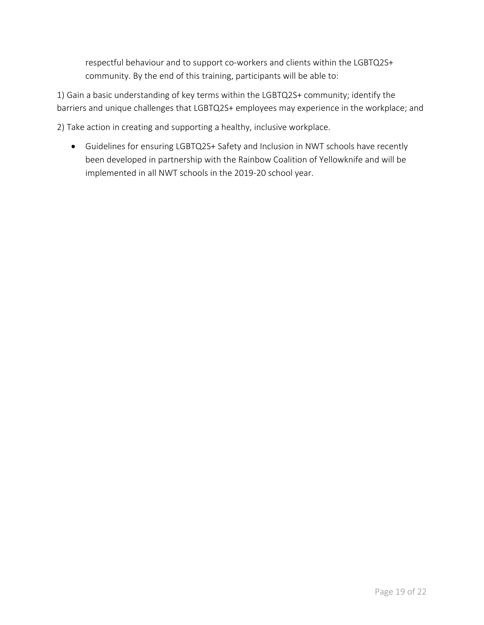respectful behaviour and to support co-workers and clients within the LGBTQ2S+ community. By the end of this training, participants will be able to:

1) Gain a basic understanding of key terms within the LGBTQ2S+ community; identify the barriers and unique challenges that LGBTQ2S+ employees may experience in the workplace; and

2) Take action in creating and supporting a healthy, inclusive workplace.

• Guidelines for ensuring LGBTQ2S+ Safety and Inclusion in NWT schools have recently been developed in partnership with the Rainbow Coalition of Yellowknife and will be implemented in all NWT schools in the 2019-20 school year.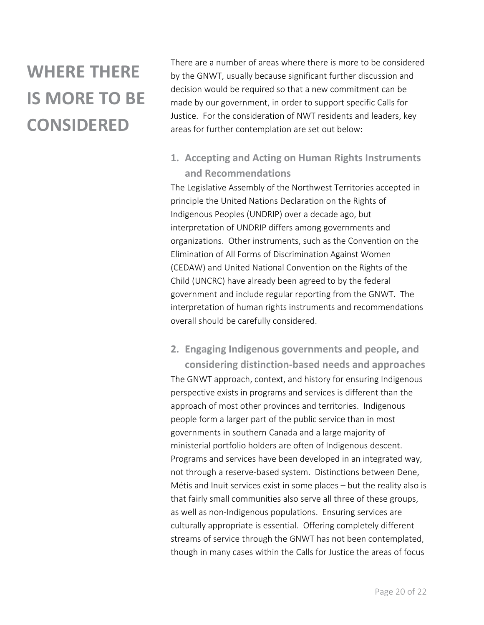# **WHERE THERE IS MORE TO BE CONSIDERED**

There are a number of areas where there is more to be considered by the GNWT, usually because significant further discussion and decision would be required so that a new commitment can be made by our government, in order to support specific Calls for Justice. For the consideration of NWT residents and leaders, key areas for further contemplation are set out below:

### <span id="page-22-0"></span>**1. Accepting and Acting on Human Rights Instruments and Recommendations**

The Legislative Assembly of the Northwest Territories accepted in principle the United Nations Declaration on the Rights of Indigenous Peoples (UNDRIP) over a decade ago, but interpretation of UNDRIP differs among governments and organizations. Other instruments, such as the Convention on the Elimination of All Forms of Discrimination Against Women (CEDAW) and United National Convention on the Rights of the Child (UNCRC) have already been agreed to by the federal government and include regular reporting from the GNWT. The interpretation of human rights instruments and recommendations overall should be carefully considered.

### <span id="page-22-1"></span>**2. Engaging Indigenous governments and people, and**

**considering distinction-based needs and approaches** The GNWT approach, context, and history for ensuring Indigenous perspective exists in programs and services is different than the approach of most other provinces and territories. Indigenous people form a larger part of the public service than in most governments in southern Canada and a large majority of ministerial portfolio holders are often of Indigenous descent. Programs and services have been developed in an integrated way, not through a reserve-based system. Distinctions between Dene, Métis and Inuit services exist in some places – but the reality also is that fairly small communities also serve all three of these groups, as well as non-Indigenous populations. Ensuring services are culturally appropriate is essential. Offering completely different streams of service through the GNWT has not been contemplated, though in many cases within the Calls for Justice the areas of focus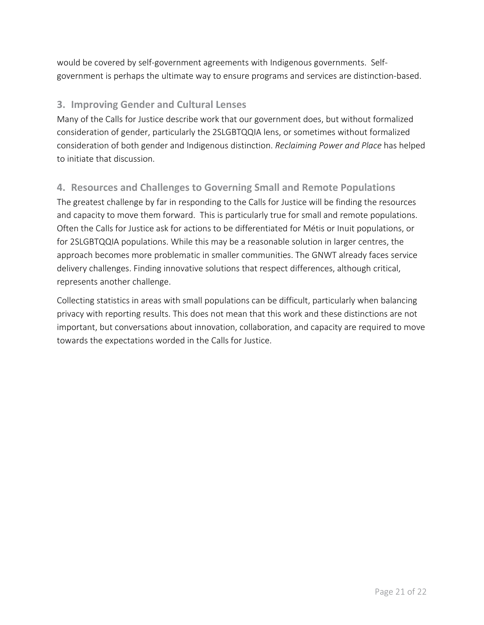would be covered by self-government agreements with Indigenous governments. Selfgovernment is perhaps the ultimate way to ensure programs and services are distinction-based.

#### <span id="page-23-0"></span>**3. Improving Gender and Cultural Lenses**

Many of the Calls for Justice describe work that our government does, but without formalized consideration of gender, particularly the 2SLGBTQQIA lens, or sometimes without formalized consideration of both gender and Indigenous distinction. *Reclaiming Power and Place* has helped to initiate that discussion.

### <span id="page-23-1"></span>**4. Resources and Challenges to Governing Small and Remote Populations**

The greatest challenge by far in responding to the Calls for Justice will be finding the resources and capacity to move them forward. This is particularly true for small and remote populations. Often the Calls for Justice ask for actions to be differentiated for Métis or Inuit populations, or for 2SLGBTQQIA populations. While this may be a reasonable solution in larger centres, the approach becomes more problematic in smaller communities. The GNWT already faces service delivery challenges. Finding innovative solutions that respect differences, although critical, represents another challenge.

Collecting statistics in areas with small populations can be difficult, particularly when balancing privacy with reporting results. This does not mean that this work and these distinctions are not important, but conversations about innovation, collaboration, and capacity are required to move towards the expectations worded in the Calls for Justice.